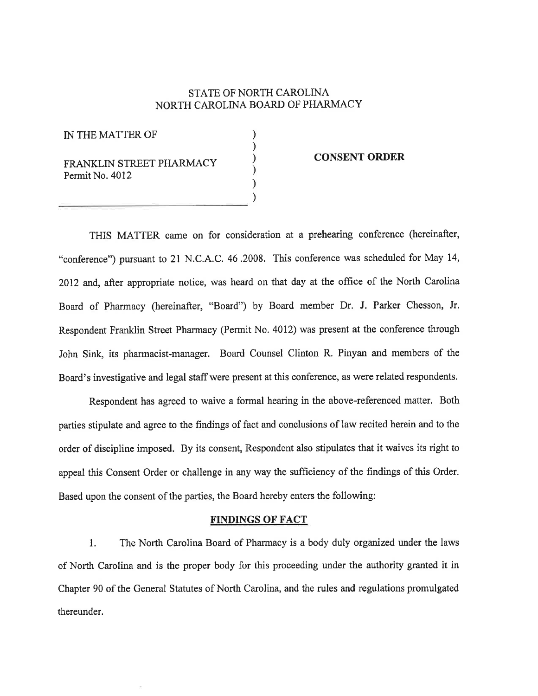## STATE OF NORTH CAROLINA NORTH CAROLINA BOARD OF PHARMACY

) ) ) ) ) )

IN THE MATTER OF

FRANKLIN STREET PHARMACY Permit No. 4012

## CONSENT ORDER

THIS MATTER came on for consideration at a prehearing conference (hereinafter, "conference") pwsuant to 21 N.C.A.C.46.2008. This conference was scheduled for May 14, 2012 and, after appropriate notice, was heard on that day at the office of the North Carolina Board of Pharmacy (hereinafter, "Board") by Board member Dr. J. Parker Chesson, Jr. Respondent Franklin Street Pharmacy (Permit No. 4012) was present at the conference through John Sink, its pharmacist-manager. Board Counsel Clinton R. Pinyan and members of the Board's investigative and legal staff were present at this conference, as were related respondents.

Respondent has agreed to waive a formal hearing in the above-referenced matter. Both parties stipulate and agree to the findings of fact and conclusions of law recited herein and to the order of discipline imposed. By its consent, Respondent also stipulates that it waives its right to appeal this Consent Order or challenge in any way the sufficiency of the findings of this Order. Based upon the consent of the parties, the Board hereby enters the following:

## FINDINGS OF FACT

1. The North Carolina Board of Pharmacy is a body duly organized under the laws of North Carolina and is the proper body for this proceeding under the authority granted it in Chapter 90 of the General Statutes of North Carolina, and the rules and regulations promulgated thereunder.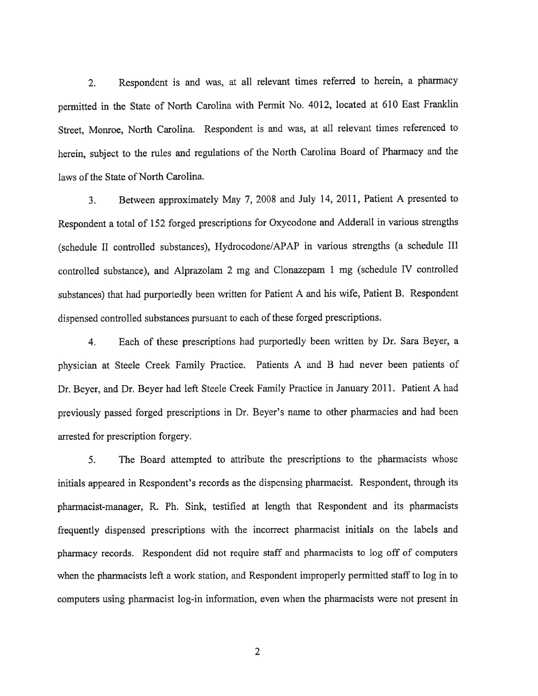2. Respondent is and was, at all relevant times referred to herein, a pharmacy permitted in the State of North Carolina with Permit No. 4012, located at 610 East Franklin Street, Monroe, North Carolina. Respondent is and was, at all relevant times referenced to herein, subject to the rules and regulations of the North Carolina Board of Pharmacy and the laws of the State of North Carolina.

3. Between approximately May 7,2008 and July 14,2011, Patient A presented to Respondent a total of 152 forged prescriptions for Oxycodone and Adderall in various strenglhs (schedule II controlled substances), Hydrocodone/APAP in various strengths (a schedule III controlled substance), and Alprazolam 2 mg and Clonazepam I mg (schedule IV controlled substances) that had purportedly been written for Patient A and his wife, Patient B. Respondent dispensed controlled substances pursuant to each of these forged prescriptions.

4. Each of these prescriptions had purportedly been written by Dr. Sara Beyer, <sup>a</sup> physician at Steele Creek Family Practice. Patients A and B had never been patients of Dr. Beyer, and Dr. Beyer had left Steele Creek Family Practice in January 2011. Patient A had previously passed forged prescriptions in Dr. Beyer's name to other pharmacies and had been arrested for prescription forgery.

5. The Board attempted to attribute the prescriptions to the pharmacists whose initials appeared in Respondent's records as the dispensing pharmacist. Respondent, through its pharmacist-manager, R. Ph. Sink, testified at length that Respondent and its pharmacists frequently dispensed prescriptions with the inconect pharmacist initials on the labels and pharmacy records. Respondent did not require staff and pharmacists to log off of computers when the pharmacists left a work station, and Respondent improperly permitted staff to log in to computers using pharmacist log-in information, even when the pharmacists were not present in

2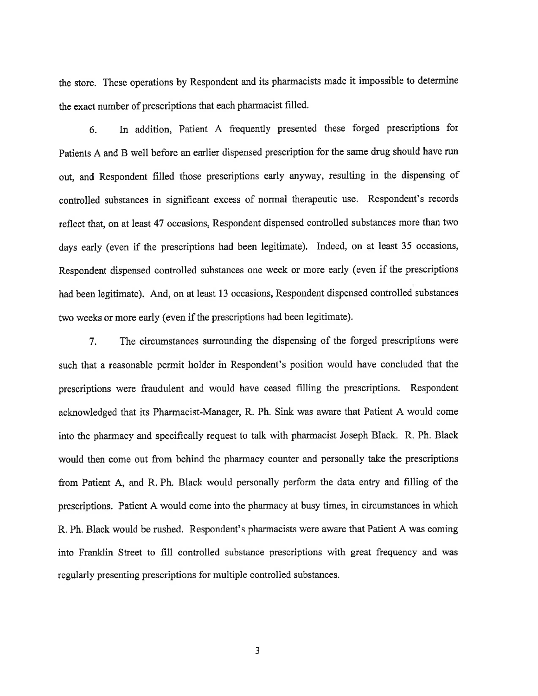the store. These operations by Respondent and its pharmacists made it impossible to determine the exact number of prescriptions that each pharmacist filled.

6. In addition, Patient A frequently presented these forged prescriptions for Patients A and B well before an earlier dispensed prescription for the same drug should have run out, and Respondent filled those prescriptions early anyway, resulting in the dispensing of controlled substances in significant excess of normal therapeutic use. Respondent's records reflect that, on at least 47 occasions, Respondent dispensed controlled substances more than two days early (even if the prescriptions had been legitimate). Indeed, on at least 35 occasions, Respondent dispensed controlled substances one week or more early (even if the prescriptions had been legitimate). And, on at least 13 occasions, Respondent dispensed controlled substances two weeks or more early (even if the prescriptions had been legitimate).

7. The circumstances surrounding the dispensing of the forged prescriptions were such that a reasonable permit holder in Respondent's position would havç concluded that the prescriptions were fraudulent and would have ceased filling the prescriptions. Respondent acknowledged that its Pharmacist-Manager, R. Ph. Sink was aware that Patient A would come into the pharmacy and specifically request to talk with pharmacist Joseph Black. R. Ph. Black would then come out from behind the pharmacy counter and personally take the prescriptions from Patient A, and R. Ph. Black would personally perform the data entry and filling of the prescriptions. Patient A would come into the pharmacy at busy times, in circumstances in which R. Ph. Black would be rushed. Respondent's pharmacists were aware that Patient A was coming into Franklin Street to fill controlled substance prescriptions with great frequency and was regularly presenting prescriptions for multiple controlled substances.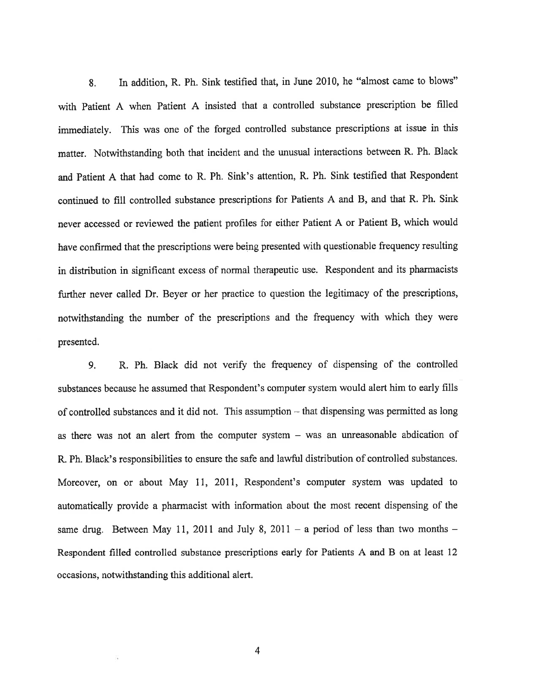8. In addition, R. Ph. Sink testified that, in June 2010, he "almost came to blows" with Patient A when Patient A insisted that a controlled substance prescription be filled immediately. This was one of the forged controlled substance prescriptions at issue in this matter. Notwithstanding both that incident and the unusual interactions between R. Ph. Black and Patient A that had come to R. Ph. Sink's affention, R. Ph. Sink testified that Respondent continued to fill controlled substance prescriptions for Patients A and B, and that R. Ph. Sink never accessed or reviewed the patient profiles for either Patient A or Patient B, which would have confirmed that the prescriptions were being presented with questionable frequency resulting in distribution in signifrcant excess of normal therapeutic use. Respondent and its pharmacists further never called Dr. Beyer or her practice to question the legitimacy of the prescriptions, notwithstanding the number of the prescriptions and the frequency with which they were presented.

9. R. Ph. Black did not veriff the frequency of dispensing of the controlled substances because he assumed that Respondent's computer system would alert him to early fills of controlled substances and it did not. This assumption - that dispensing was permitted as long as there was not an alert from the computer system - was an unreasonable abdication of R. Ph. Black's responsibilities to ensure the safe and lawful distribution of controlled substances. Moreover, on or about May ll, 2011, Respondent's computer system was updated to automatically provide a pharmacist with information about the most recent dispensing of the same drug, Between May 11, 2011 and July 8, 2011 – a period of less than two months – Respondent filled controlled substance prescriptions early for Patients A and B on at least <sup>12</sup> occasions, notwithstanding this additional alert.

4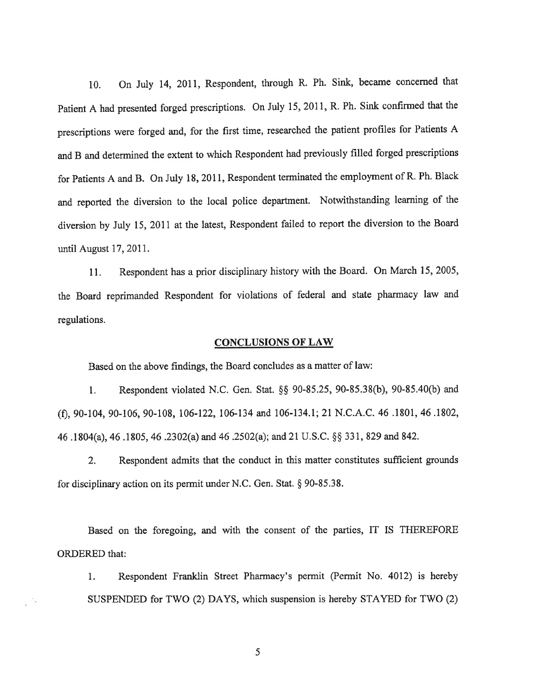10. On July 14, 2011, Respondent, through R, Ph. Sink, became concemed that patient A had presented forged prescriptions. On July 15,2011, R, Ph. Sink confirmed that the prescriptions were forged and, for the first time, researched the patient profiles for Patients A and B and determined the extent to which Respondent had previously filled forged prescriptions for Patients A and B. On July 18, 2011, Respondent terminated the employment of R. Ph. Black and reported the diversion to the local police department. Notwithstanding learning of the diversion by July 15, 2011 at the latest, Respondent failed to report the diversion to the Board until August 17, 2011.

<sup>I</sup>l. Respondent has a prior disciplinary history with the Board. On March 15,2005, the Board reprimanded Respondent for violations of federal and state pharmacy law and regulations.

## CONCLUSIONS OF LAW

Based on the above findings, the Board concludes as a matter of law:

1. Respondent violated N.C. Gen. Stat. \$\$ 90-85.25,90-85.38(b), 90-85.40(b) and (f), 90-104, 90-106, 90-108, 106-122, 106-134 and 106-134.1; 21 N.C.A.C. 46 .1801, 46 .1802, 46 .1804(a), 46 .1805, 46 .2302(a) and 46 .2502(a); and2I U.S.C. \$\$ 33 1, 829 and 842.

2. Respondent admits that the conduct in this matter constitutes sufficient grounds for disciplinary action on its permit under N.C. Gen. Stat. \$ 90-85.38.

Based on the foregoing, and with the consent of the parties, IT IS THEREFORE ORDERED that:

1. Respondent Franklin Street Pharmacy's permit (Permit No. 4012) is hereby SUSPENDED for TWO (2) DAYS, which suspension is hereby STAYED for TWO (2)

5

್ಸ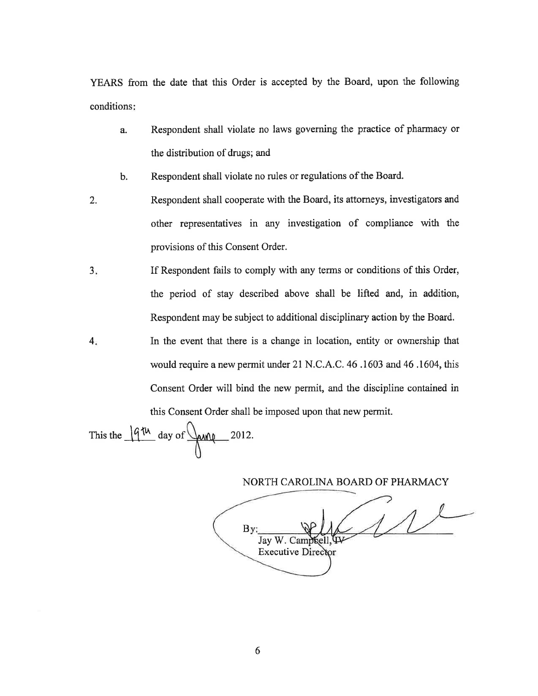YEARS from the date that this Order is accepted by the Board, upon the following conditions

- a. Respondent shall violate no laws governing the practice of pharmacy or the distribution of drugs; and
- b. Respondent shall violate no rules or regulations of the Board.
- Respondent shall cooperate with the Board, its attorneys, investigators and other representatives in any investigation of compliance with the provisions of this Consent Order. 2.
- If Respondent fails to comply with any terms or conditions of this Order, the period of stay described above shall be lifted and, in addition, Respondent may be subject to additional disciplinary action by the Board.  $3<sub>i</sub>$
- In the event that there is a change in location, entity or ownership that would require a new permit under 21 N.C.A.C. 46 .1603 and 46.1604, this Consent Order will bind the new permit, and the discipline contained in  $4.$

this Consent Order shall be imposed upon that new permit.

This the  $\frac{1}{4}$ <sup>th</sup> day of  $\sqrt{\frac{1}{4}}$ 2012.

NORTH CAROLINA BOARD OF PHARMACY

By: Jay Executive Director